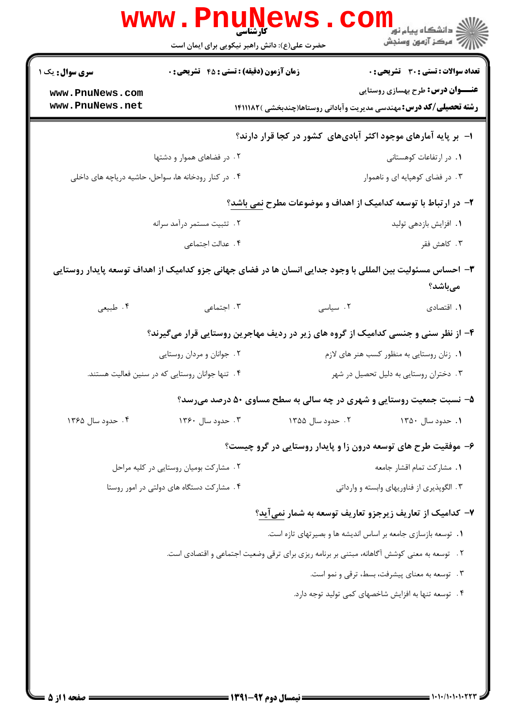|                                                                                   |                                                                                                           | حضرت علی(ع): دانش راهبر نیکویی برای ایمان است                                                 | ڪ دانشڪاه پيا <sub>م</sub> نور<br>ر <i>ا</i> ⊂ مرڪز آزمون وسنڊش            |  |
|-----------------------------------------------------------------------------------|-----------------------------------------------------------------------------------------------------------|-----------------------------------------------------------------------------------------------|----------------------------------------------------------------------------|--|
| <b>سری سوال :</b> یک ۱                                                            | زمان آزمون (دقیقه) : تستی : 45 آتشریحی : 0                                                                |                                                                                               | <b>تعداد سوالات : تستی : 30 ٪ تشریحی : 0</b>                               |  |
| www.PnuNews.com                                                                   |                                                                                                           |                                                                                               | <b>عنـــوان درس:</b> طرح بهسازی روستایی                                    |  |
| www.PnuNews.net                                                                   |                                                                                                           |                                                                                               | <b>رشته تحصیلی/کد درس:</b> مهندسی مدیریت وآبادانی روستاها(چندبخشی )۱۴۱۱۱۸۲ |  |
|                                                                                   |                                                                                                           | ا- بر پایه آمارهای موجود اکثر آبادیهای کشور در کجا قرار دارند؟                                |                                                                            |  |
|                                                                                   | ۲. در فضاهای هموار و دشتها                                                                                |                                                                                               | ٠١. در ارتفاعات كوهستاني                                                   |  |
|                                                                                   | ۰۴ در کنار رودخانه ها، سواحل، حاشیه دریاچه های داخلی                                                      |                                                                                               | ۰۳ در فضای کوهپایه ای و ناهموار                                            |  |
|                                                                                   |                                                                                                           | ۲- در ارتباط با توسعه کدامیک از اهداف و موضوعات مطرح <u>نمی باشد</u> ؟                        |                                                                            |  |
|                                                                                   | ۲. تثبیت مستمر درآمد سرانه                                                                                |                                                                                               | 1. افزایش بازدهی تولید                                                     |  |
|                                                                                   | ۴. عدالت اجتماعی                                                                                          |                                                                                               | ۰۳ کاهش فقر                                                                |  |
|                                                                                   | ۳– احساس مسئولیت بین المللی با وجود جدایی انسان ها در فضای جهانی جزو کدامیک از اهداف توسعه پایدار روستایی |                                                                                               | مىباشد؟                                                                    |  |
| ۰۴ طبیعی                                                                          | ۰۳ اجتماعی                                                                                                | ۰۲ سیاسی                                                                                      | ٠١. اقتصادى                                                                |  |
| ۴- از نظر سنی و جنسی کدامیک از گروه های زیر در ردیف مهاجرین روستایی قرار میگیرند؟ |                                                                                                           |                                                                                               |                                                                            |  |
|                                                                                   | ۰۲ جوانان و مردان روستایی                                                                                 |                                                                                               | ۰۱ زنان روستایی به منظور کسب هنر های لازم                                  |  |
|                                                                                   | ۰۴ تنها جوانان روستایی که در سنین فعالیت هستند.                                                           |                                                                                               | ۰۳ دختران روستایی به دلیل تحصیل در شهر                                     |  |
|                                                                                   |                                                                                                           | ۵- نسبت جمعیت روستایی و شهری در چه سالی به سطح مساوی ۵۰ درصد میرسد؟                           |                                                                            |  |
| ۴. حدود سال ۱۳۶۵                                                                  | ۰۳ حدود سال ۱۳۶۰                                                                                          | ۲ . حدود سال ۱۳۵۵                                                                             | ۰۱ حدود سال ۱۳۵۰                                                           |  |
|                                                                                   |                                                                                                           | ۶- موفقیت طرح های توسعه درون زا و پایدار روستایی در گرو چیست؟                                 |                                                                            |  |
|                                                                                   | ۲. مشارکت بومیان روستایی در کلیه مراحل                                                                    |                                                                                               | ٠١. مشاركت تمام اقشار جامعه                                                |  |
|                                                                                   | ۰۴ مشارکت دستگاه های دولتی در امور روستا                                                                  |                                                                                               | ۰۳ الگوپذیری از فناوریهای وابسته و وارداتی                                 |  |
|                                                                                   |                                                                                                           | ۷– کدامیک از تعاریف زیرجزو تعاریف توسعه به شمار نمیآید؟                                       |                                                                            |  |
|                                                                                   |                                                                                                           | ٠١. توسعه بازسازي جامعه بر اساس انديشه ها و بصيرتهاي تازه است.                                |                                                                            |  |
|                                                                                   |                                                                                                           | ۲ .   توسعه به معنی کوشش آگاهانه، مبتنی بر برنامه ریزی برای ترقی وضعیت اجتماعی و اقتصادی است. |                                                                            |  |
|                                                                                   |                                                                                                           |                                                                                               | ۰۳ توسعه به معنای پیشرفت، بسط، ترقی و نمو است.                             |  |
|                                                                                   |                                                                                                           |                                                                                               | ۴. توسعه تنها به افزایش شاخصهای کمی تولید توجه دارد.                       |  |
|                                                                                   |                                                                                                           |                                                                                               |                                                                            |  |
|                                                                                   |                                                                                                           |                                                                                               |                                                                            |  |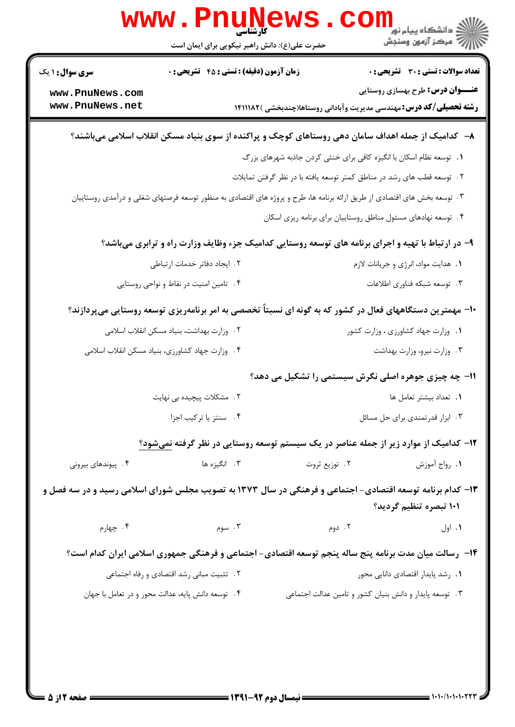| <b>تعداد سوالات : تستي : 30 ٪ تشريحي : 0</b> |                                                                                                                          | زمان آزمون (دقیقه) : تستی : 45 آتشریحی : 0        | سری سوال : ۱ یک    |
|----------------------------------------------|--------------------------------------------------------------------------------------------------------------------------|---------------------------------------------------|--------------------|
| <b>عنـــوان درس:</b> طرح بهسازی روستایی      |                                                                                                                          |                                                   | www.PnuNews.com    |
|                                              | <b>رشته تحصیلی/کد درس:</b> مهندسی مدیریت وآبادانی روستاها(چندبخشی )۱۴۱۱۱۸۲                                               |                                                   | www.PnuNews.net    |
|                                              | ۸– کدامیک از جمله اهداف سامان دهی روستاهای کوچک و پراکنده از سوی بنیاد مسکن انقلاب اسلامی میباشند؟                       |                                                   |                    |
|                                              | ٠. توسعه نظام اسكان با انگيزه كافي براي خنثي كردن جاذبه شهرهاي بزرگ                                                      |                                                   |                    |
|                                              | ۲ . توسعه قطب های رشد در مناطق کمتر توسعه یافته با در نظر گرفتن تمایلات                                                  |                                                   |                    |
|                                              | ۰۳ توسعه بخش های اقتصادی از طریق ارائه برنامه ها، طرح و پروژه های اقتصادی به منظور توسعه فرصتهای شغلی و درآمدی روستاییان |                                                   |                    |
|                                              | ۰۴ توسعه نهادهای مسئول مناطق روستاییان برای برنامه ریزی اسکان                                                            |                                                   |                    |
|                                              | ۹- در ارتباط با تهیه و اجرای برنامه های توسعه روستایی کدامیک جزء وظایف وزارت راه و ترابری میباشد؟                        |                                                   |                    |
| ۰۱ هدایت مواد، انرژی و جریانات لازم          |                                                                                                                          | ٢. ايجاد دفاتر خدمات ارتباطي                      |                    |
| ۰۳ توسعه شبکه فناوری اطلاعات                 |                                                                                                                          | ۰۴ تامین امنیت در نقاط و نواحی روستایی            |                    |
|                                              | ∙۱- مهمترین دستگاههای فعال در کشور که به گونه ای نسبتاً تخصصی به امر برنامهریزی توسعه روستایی میپردازند؟                 |                                                   |                    |
| ٠١ وزارت جهاد كشاورزى ، وزارت كشور           |                                                                                                                          | ٢ . وزارت بهداشت، بنياد مسكن انقلاب اسلامى        |                    |
| ۰۳ وزارت نیرو، وزارت بهداشت                  |                                                                                                                          | ۴. وزارت جهاد كشاورزي، بنياد مسكن انقلاب اسلامي   |                    |
|                                              | 11- چه چیزی جوهره اصلی نگرش سیستمی را تشکیل می دهد؟                                                                      |                                                   |                    |
| ٠١. تعداد بيشتر تعامل ها                     |                                                                                                                          | ۲. مشکلات پیچیده بی نهایت                         |                    |
| ۰۳ ابزار قدرتمندی برای حل مسائل              |                                                                                                                          | ۰۴ سنتز یا ترکیب اجزا                             |                    |
|                                              | ۱۲– کدامیک از موارد زیر از جمله عناصر در یک سیستم توسعه روستایی در نظر گرفته نمیشود؟                                     |                                                   |                    |
| ٠١. رواج أموزش                               | ۰۲ توزیع ثروت                                                                                                            | ۰۳ انگیزه ها                                      | ۰۴ پیوندهای بیرونی |
|                                              | ۱۳- کدام برنامه توسعه اقتصادی- اجتماعی و فرهنگی در سال ۱۳۷۳ به تصویب مجلس شورای اسلامی رسید و در سه فصل و                |                                                   |                    |
| ۱۰۱ تبصره تنظیم گردید؟                       |                                                                                                                          |                                                   |                    |
| ٠١ اول                                       | ۲. دوم                                                                                                                   | ۰۳ سوم $\cdot$                                    | ۰۴ چهارم           |
|                                              | ۱۴– رسالت میان مدت برنامه پنج ساله پنجم توسعه اقتصادی- اجتماعی و فرهنگی جمهوری اسلامی ایران کدام است؟                    |                                                   |                    |
| ٠١. رشد پايدار اقتصادى دانايى محور           |                                                                                                                          | ٢. تثبيت مباني رشد اقتصادي و رفاه اجتماعي         |                    |
|                                              | ۰۳ توسعه پایدار و دانش بنیان کشور و تامین عدالت اجتماعی                                                                  | ۴. توسعه دانش پایه، عدالت محور و در تعامل با جهان |                    |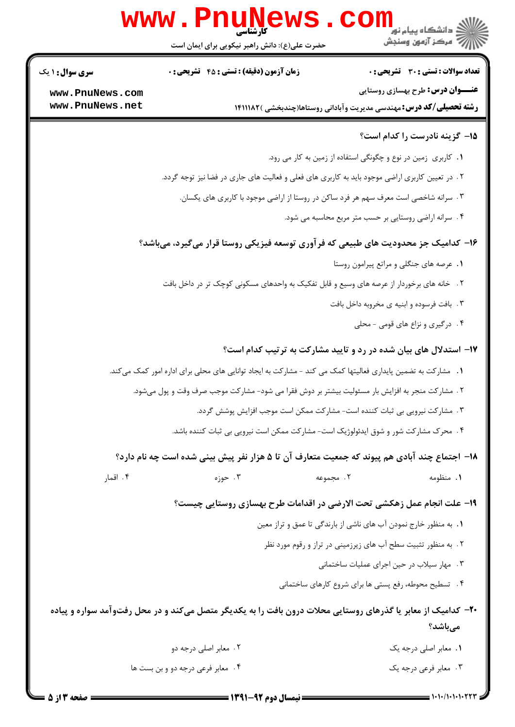|                                    | <b>WWW . F</b>                                                                       | <b>کارشناسی</b><br>حضرت علی(ع): دانش راهبر نیکویی برای ایمان است | : دانشگاه پيام نو <mark>ر</mark><br>ج '' مرڪز آزمون وسنڊش                                                               |
|------------------------------------|--------------------------------------------------------------------------------------|------------------------------------------------------------------|-------------------------------------------------------------------------------------------------------------------------|
| <b>سری سوال : ۱ یک</b>             | <b>زمان آزمون (دقیقه) : تستی : 45 قشریحی : 0</b>                                     |                                                                  | تعداد سوالات : تستى : 30 - تشريحي : 0                                                                                   |
| www.PnuNews.com<br>www.PnuNews.net |                                                                                      |                                                                  | <b>عنـــوان درس:</b> طرح بهسازی روستایی<br><b>رشته تحصیلی/کد درس:</b> مهندسی مدیریت وآبادانی روستاها(چندبخشی )۱۴۱۱۱۸۲   |
|                                    |                                                                                      |                                                                  | 1۵- گزینه نادرست را کدام است؟                                                                                           |
|                                    |                                                                                      |                                                                  | ٠. كاربري زمين در نوع و چگونگي استفاده از زمين به كار مي رود.                                                           |
|                                    |                                                                                      |                                                                  | ۲. در تعیین کاربری اراضی موجود باید به کاربری های فعلی و فعالیت های جاری در فضا نیز توجه گردد.                          |
|                                    | ۰۳ سرانه شاخصی است معرف سهم هر فرد ساکن در روستا از اراضی موجود با کاربری های یکسان. |                                                                  |                                                                                                                         |
|                                    |                                                                                      |                                                                  | ۰۴ سرانه اراضی روستایی بر حسب متر مربع محاسبه می شود.                                                                   |
|                                    |                                                                                      |                                                                  | ۱۶– کدامیک جز محدودیت های طبیعی که فرآوری توسعه فیزیکی روستا قرار میگیرد، میباشد؟                                       |
|                                    |                                                                                      |                                                                  | ٠١ عرصه هاى جنكلى و مراتع پيرامون روستا                                                                                 |
|                                    |                                                                                      |                                                                  | ۲. خانه های برخوردار از عرصه های وسیع و قابل تفکیک به واحدهای مسکونی کوچک تر در داخل بافت                               |
|                                    |                                                                                      |                                                                  | ۰۳ بافت فرسوده و ابنیه ی مخروبه داخل بافت                                                                               |
|                                    |                                                                                      |                                                                  | ۰۴ درگیری و نزاع های قومی - محلی                                                                                        |
|                                    |                                                                                      |                                                                  | ۱۷- استدلال های بیان شده در رد و تایید مشارکت به ترتیب کدام است؟                                                        |
|                                    |                                                                                      |                                                                  | 1. مشارکت به تضمین پایداری فعالیتها کمک می کند - مشارکت به ایجاد توانایی های محلی برای اداره امور کمک میکند.            |
|                                    |                                                                                      |                                                                  | ۲ . مشارکت منجر به افزایش بار مسئولیت بیشتر بر دوش فقرا می شود- مشارکت موجب صرف وقت و پول میشود.                        |
|                                    |                                                                                      |                                                                  | ۰۳ مشارکت نیرویی بی ثبات کننده است- مشارکت ممکن است موجب افزایش پوشش گردد.                                              |
|                                    |                                                                                      |                                                                  | ۰۴ محرک مشارکت شور و شوق ایدئولوژیک است- مشارکت ممکن است نیرویی بی ثبات کننده باشد.                                     |
|                                    |                                                                                      |                                                                  | ۱۸– اجتماع چند آبادی هم پیوند که جمعیت متعارف آن تا ۵ هزار نفر پیش بینی شده است چه نام دارد؟                            |
| ۰۴ اقمار                           | ۰۳ حوزه                                                                              | ٢. مجموعه                                                        | ۰۱ منظومه                                                                                                               |
|                                    |                                                                                      |                                                                  | ۱۹- علت انجام عمل زهکشی تحت الارضی در اقدامات طرح بهسازی روستایی چیست؟                                                  |
|                                    |                                                                                      |                                                                  | ۰۱ به منظور خارج نمودن آب های ناشی از بارندگی تا عمق و تراز معین                                                        |
|                                    |                                                                                      |                                                                  | ۲. به منظور تثبیت سطح آب های زیرزمینی در تراز و رقوم مورد نظر                                                           |
|                                    |                                                                                      |                                                                  | ۰۳ مهار سیلاب در حین اجرای عملیات ساختمانی                                                                              |
|                                    |                                                                                      |                                                                  | ۴ . تسطیح محوطه، رفع پستی ها برای شروع کارهای ساختمانی                                                                  |
|                                    |                                                                                      |                                                                  | ۲۰- کدامیک از معابر یا گذرهای روستایی محلات درون بافت را به یکدیگر متصل میکند و در محل رفتوآمد سواره و پیاده<br>مىباشد؟ |
|                                    | ۰۲ معابر اصلي درجه دو                                                                |                                                                  | ٠١. معابر اصلى درجه يك                                                                                                  |
| ۰۴ معابر فرعی درجه دو و بن بست ها  |                                                                                      |                                                                  | ۰۳ معابر فرعی درجه یک                                                                                                   |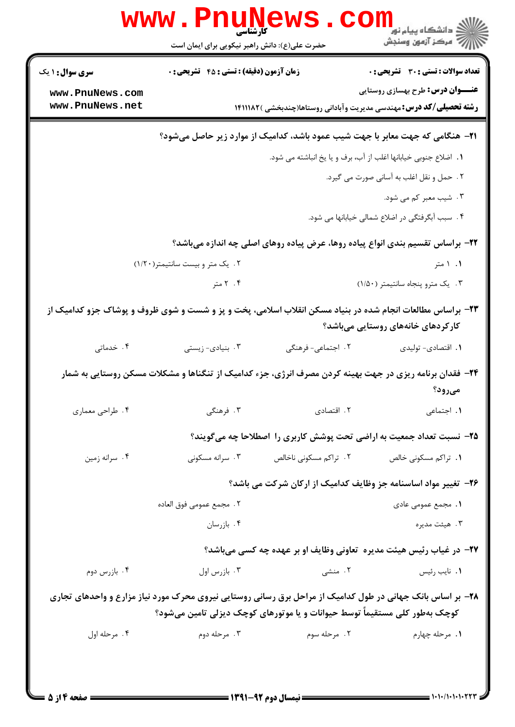|                        | www . Pnu<br>$\mathbf{L}$<br>حضرت علی(ع): دانش راهبر نیکویی برای ایمان است |                        | ر دانشڪاه پيام نور ■<br>ا∛ مرکز آزمون وسنڊش                                                                                                    |
|------------------------|----------------------------------------------------------------------------|------------------------|------------------------------------------------------------------------------------------------------------------------------------------------|
| <b>سری سوال : ۱ یک</b> | زمان آزمون (دقیقه) : تستی : ۴۵ قشریحی : 0                                  |                        | <b>تعداد سوالات : تستی : 30 ٪ تشریحی : 0</b>                                                                                                   |
| www.PnuNews.com        |                                                                            |                        | <b>عنـــوان درس:</b> طرح بهسازی روستایی                                                                                                        |
| www.PnuNews.net        |                                                                            |                        | <b>رشته تحصیلی/کد درس:</b> مهندسی مدیریت وآبادانی روستاها(چندبخشی )۱۴۱۱۱۸۲                                                                     |
|                        |                                                                            |                        | <b>۲۱</b> - هنگامی که جهت معابر با جهت شیب عمود باشد، کدامیک از موارد زیر حاصل میشود؟                                                          |
|                        |                                                                            |                        | 1. اضلاع جنوبي خيابانها اغلب از آب، برف و يا يخ انباشته مي شود.                                                                                |
|                        |                                                                            |                        | ۲. حمل و نقل اغلب به آسانی صورت می گیرد.                                                                                                       |
|                        |                                                                            |                        | ۰۳ شیب معبر کم می شود.                                                                                                                         |
|                        |                                                                            |                        | ۴. سبب آبگرفتگی در اضلاع شمالی خیابانها می شود.                                                                                                |
|                        |                                                                            |                        | ۲۲- براساس تقسیم بندی انواع پیاده روها، عرض پیاده روهای اصلی چه اندازه میباشد؟                                                                 |
|                        | ۰۲ یک متر و بیست سانتیمتر(۱/۲۰)                                            |                        | ۱. ۱ متر                                                                                                                                       |
|                        | ۰۴ متر                                                                     |                        | ۰۳ يک مترو پنجاه سانتيمتر (١/٥٠)                                                                                                               |
|                        |                                                                            |                        | ۲۳- براساس مطالعات انجام شده در بنیاد مسکن انقلاب اسلامی، پخت و پز و شست و شوی ظروف و پوشاک جزو کدامیک از<br>کارکردهای خانههای روستایی میباشد؟ |
| ۰۴ خدماتی              | ۰۳ بنیادی- زیستی                                                           | ٢. اجتماعي- فرهنگي     | ۰۱ اقتصادی- تولیدی                                                                                                                             |
|                        |                                                                            |                        | ۲۴- فقدان برنامه ریزی در جهت بهینه کردن مصرف انرژی، جزء کدامیک از تنگناها و مشکلات مسکن روستایی به شمار<br>مىرود؟                              |
| ۰۴ طراحي معماري        | ۰۳ فرهنگی                                                                  | ٢. اقتصادى             | ٠١. اجتماعي                                                                                                                                    |
|                        |                                                                            |                        | ۲۵- نسبت تعداد جمعیت به اراضی تحت پوشش کاربری را اصطلاحا چه میگویند؟                                                                           |
| ۰۴ سرانه زمین          | ۰۳ سرانه مسکونی                                                            | ٢. تراكم مسكوني ناخالص | <b>۱.</b> تراکم مسکونی خالص                                                                                                                    |
|                        |                                                                            |                        | ۲۶– تغییر مواد اساسنامه جز وظایف کدامیک از ارکان شرکت می باشد؟                                                                                 |
|                        | ٢ . مجمع عمومي فوق العاده                                                  |                        | <b>۱.</b> مجمع عمومی عادی                                                                                                                      |
|                        | ۰۴ بازرسان                                                                 |                        | ۰۳ هيئت مديره                                                                                                                                  |
|                        |                                                                            |                        | ۲۷- در غیاب رئیس هیئت مدیره  تعاونی وظایف او بر عهده چه کسی میباشد؟                                                                            |
| ۰۴ بازرس دوم           | ۰۳ بازرس اول                                                               | ۲. منشی                | ۰۱ نايب رئيس                                                                                                                                   |
|                        |                                                                            |                        | ۲۸- بر اساس بانک جهانی در طول کدامیک از مراحل برق رسانی روستایی نیروی محرک مورد نیاز مزارع و واحدهای تجاری                                     |
|                        | کوچک بهطور کلی مستقیماً توسط حیوانات و یا موتورهای کوچک دیزلی تامین میشود؟ |                        |                                                                                                                                                |
| ۰۴ مرحله اول           | ۰۳ مرحله دوم                                                               | ۲. مرحله سوم           | ٠١. مرحله چهارم                                                                                                                                |
|                        |                                                                            |                        |                                                                                                                                                |
|                        |                                                                            |                        |                                                                                                                                                |

 $= 1.1.11.1.1.177$